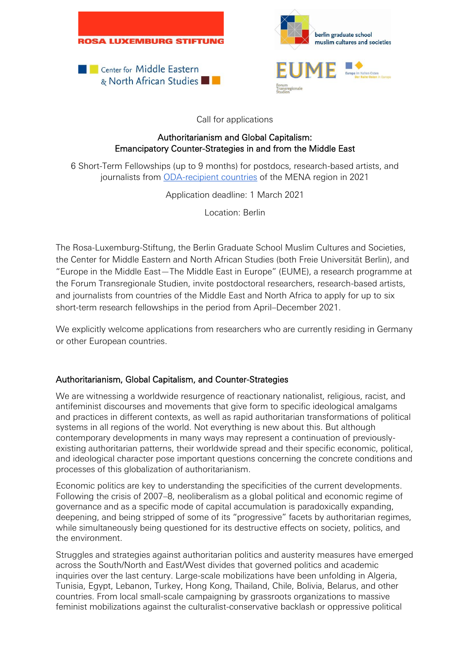

Call for applications

## Authoritarianism and Global Capitalism: Emancipatory Counter-Strategies in and from the Middle East

6 Short-Term Fellowships (up to 9 months) for postdocs, research-based artists, and journalists from [ODA-recipient countries](http://www.oecd.org/dac/financing-sustainable-development/development-finance-standards/DAC-List-ODA-Recipients-for-reporting-2021-flows.pdf) of the MENA region in 2021

Application deadline: 1 March 2021

Location: Berlin

The Rosa-Luxemburg-Stiftung, the Berlin Graduate School Muslim Cultures and Societies, the Center for Middle Eastern and North African Studies (both Freie Universität Berlin), and "Europe in the Middle East—The Middle East in Europe" (EUME), a research programme at the Forum Transregionale Studien, invite postdoctoral researchers, research-based artists, and journalists from countries of the Middle East and North Africa to apply for up to six short-term research fellowships in the period from April–December 2021.

We explicitly welcome applications from researchers who are currently residing in Germany or other European countries.

# Authoritarianism, Global Capitalism, and Counter-Strategies

We are witnessing a worldwide resurgence of reactionary nationalist, religious, racist, and antifeminist discourses and movements that give form to specific ideological amalgams and practices in different contexts, as well as rapid authoritarian transformations of political systems in all regions of the world. Not everything is new about this. But although contemporary developments in many ways may represent a continuation of previouslyexisting authoritarian patterns, their worldwide spread and their specific economic, political, and ideological character pose important questions concerning the concrete conditions and processes of this globalization of authoritarianism.

Economic politics are key to understanding the specificities of the current developments. Following the crisis of 2007–8, neoliberalism as a global political and economic regime of governance and as a specific mode of capital accumulation is paradoxically expanding, deepening, and being stripped of some of its "progressive" facets by authoritarian regimes, while simultaneously being questioned for its destructive effects on society, politics, and the environment.

Struggles and strategies against authoritarian politics and austerity measures have emerged across the South/North and East/West divides that governed politics and academic inquiries over the last century. Large-scale mobilizations have been unfolding in Algeria, Tunisia, Egypt, Lebanon, Turkey, Hong Kong, Thailand, Chile, Bolivia, Belarus, and other countries. From local small-scale campaigning by grassroots organizations to massive feminist mobilizations against the culturalist-conservative backlash or oppressive political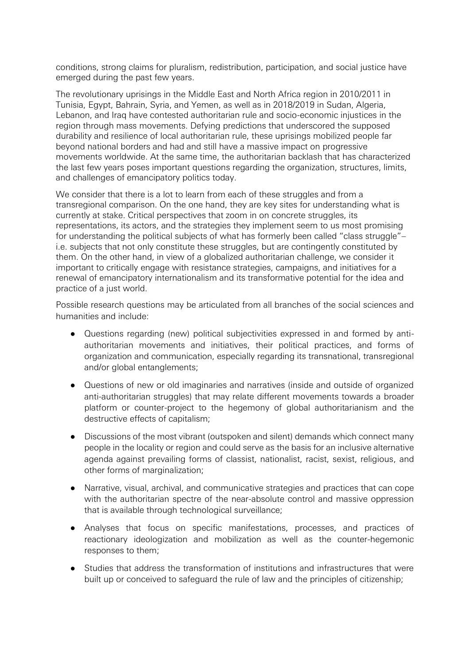conditions, strong claims for pluralism, redistribution, participation, and social justice have emerged during the past few years.

The revolutionary uprisings in the Middle East and North Africa region in 2010/2011 in Tunisia, Egypt, Bahrain, Syria, and Yemen, as well as in 2018/2019 in Sudan, Algeria, Lebanon, and Iraq have contested authoritarian rule and socio-economic injustices in the region through mass movements. Defying predictions that underscored the supposed durability and resilience of local authoritarian rule, these uprisings mobilized people far beyond national borders and had and still have a massive impact on progressive movements worldwide. At the same time, the authoritarian backlash that has characterized the last few years poses important questions regarding the organization, structures, limits, and challenges of emancipatory politics today.

We consider that there is a lot to learn from each of these struggles and from a transregional comparison. On the one hand, they are key sites for understanding what is currently at stake. Critical perspectives that zoom in on concrete struggles, its representations, its actors, and the strategies they implement seem to us most promising for understanding the political subjects of what has formerly been called "class struggle"– i.e. subjects that not only constitute these struggles, but are contingently constituted by them. On the other hand, in view of a globalized authoritarian challenge, we consider it important to critically engage with resistance strategies, campaigns, and initiatives for a renewal of emancipatory internationalism and its transformative potential for the idea and practice of a just world.

Possible research questions may be articulated from all branches of the social sciences and humanities and include:

- Questions regarding (new) political subjectivities expressed in and formed by antiauthoritarian movements and initiatives, their political practices, and forms of organization and communication, especially regarding its transnational, transregional and/or global entanglements;
- Questions of new or old imaginaries and narratives (inside and outside of organized anti-authoritarian struggles) that may relate different movements towards a broader platform or counter-project to the hegemony of global authoritarianism and the destructive effects of capitalism;
- Discussions of the most vibrant (outspoken and silent) demands which connect many people in the locality or region and could serve as the basis for an inclusive alternative agenda against prevailing forms of classist, nationalist, racist, sexist, religious, and other forms of marginalization;
- Narrative, visual, archival, and communicative strategies and practices that can cope with the authoritarian spectre of the near-absolute control and massive oppression that is available through technological surveillance;
- Analyses that focus on specific manifestations, processes, and practices of reactionary ideologization and mobilization as well as the counter-hegemonic responses to them;
- Studies that address the transformation of institutions and infrastructures that were built up or conceived to safeguard the rule of law and the principles of citizenship;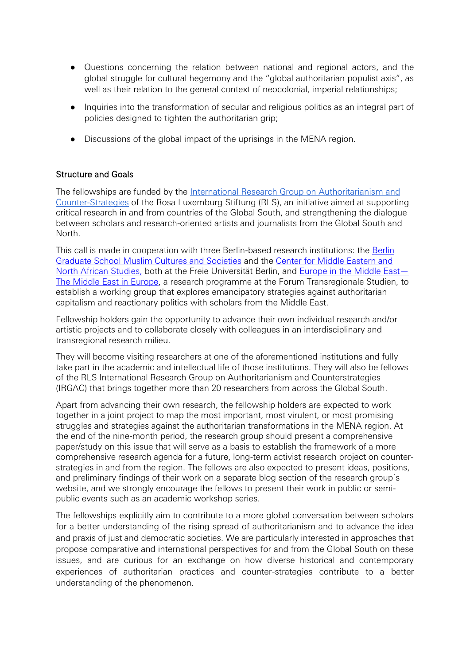- Questions concerning the relation between national and regional actors, and the global struggle for cultural hegemony and the "global authoritarian populist axis", as well as their relation to the general context of neocolonial, imperial relationships;
- Inquiries into the transformation of secular and religious politics as an integral part of policies designed to tighten the authoritarian grip;
- Discussions of the global impact of the uprisings in the MENA region.

## Structure and Goals

The fellowships are funded by the [International Research Group on Authoritarianism and](https://www.irgac.org/) [Counter-Strategies](https://www.irgac.org/) of the Rosa Luxemburg Stiftung (RLS), an initiative aimed at supporting critical research in and from countries of the Global South, and strengthening the dialogue between scholars and research-oriented artists and journalists from the Global South and North.

This call is made in cooperation with three Berlin-based research institutions: the [Berlin](http://www.bgsmcs.fu-berlin.de/index.html)  [Graduate School Muslim Cultures and Societies](http://www.bgsmcs.fu-berlin.de/index.html) and the [Center for Middle Eastern and](https://www.polsoz.fu-berlin.de/en/polwiss/forschung/international/vorderer-orient/index.html)  [North African Studies,](https://www.polsoz.fu-berlin.de/en/polwiss/forschung/international/vorderer-orient/index.html) both at the Freie Universität Berlin, and [Europe in the Middle East](https://www.eume-berlin.de/en/homepage.html)-[The Middle East in Europe,](https://www.eume-berlin.de/en/homepage.html) a research programme at the Forum Transregionale Studien, to establish a working group that explores emancipatory strategies against authoritarian capitalism and reactionary politics with scholars from the Middle East.

Fellowship holders gain the opportunity to advance their own individual research and/or artistic projects and to collaborate closely with colleagues in an interdisciplinary and transregional research milieu.

They will become visiting researchers at one of the aforementioned institutions and fully take part in the academic and intellectual life of those institutions. They will also be fellows of the RLS International Research Group on Authoritarianism and Counterstrategies (IRGAC) that brings together more than 20 researchers from across the Global South.

Apart from advancing their own research, the fellowship holders are expected to work together in a joint project to map the most important, most virulent, or most promising struggles and strategies against the authoritarian transformations in the MENA region. At the end of the nine-month period, the research group should present a comprehensive paper/study on this issue that will serve as a basis to establish the framework of a more comprehensive research agenda for a future, long-term activist research project on counterstrategies in and from the region. The fellows are also expected to present ideas, positions, and preliminary findings of their work on a separate blog section of the research group´s website, and we strongly encourage the fellows to present their work in public or semipublic events such as an academic workshop series.

The fellowships explicitly aim to contribute to a more global conversation between scholars for a better understanding of the rising spread of authoritarianism and to advance the idea and praxis of just and democratic societies. We are particularly interested in approaches that propose comparative and international perspectives for and from the Global South on these issues, and are curious for an exchange on how diverse historical and contemporary experiences of authoritarian practices and counter-strategies contribute to a better understanding of the phenomenon.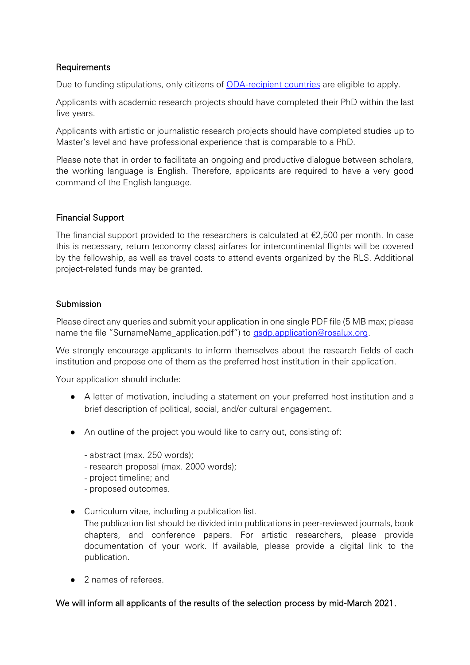## **Requirements**

Due to funding stipulations, only citizens of [ODA-recipient countries](http://www.oecd.org/dac/financing-sustainable-development/development-finance-standards/DAC_List_ODA_Recipients2018to2020_flows_En.pdf) are eligible to apply.

Applicants with academic research projects should have completed their PhD within the last five years.

Applicants with artistic or journalistic research projects should have completed studies up to Master's level and have professional experience that is comparable to a PhD.

Please note that in order to facilitate an ongoing and productive dialogue between scholars, the working language is English. Therefore, applicants are required to have a very good command of the English language.

#### Financial Support

The financial support provided to the researchers is calculated at  $\epsilon$ 2,500 per month. In case this is necessary, return (economy class) airfares for intercontinental flights will be covered by the fellowship, as well as travel costs to attend events organized by the RLS. Additional project-related funds may be granted.

#### Submission

Please direct any queries and submit your application in one single PDF file (5 MB max; please name the file "SurnameName\_application.pdf") to [gsdp.application@rosalux.org.](mailto:gsdp.application@rosalux.org)

We strongly encourage applicants to inform themselves about the research fields of each institution and propose one of them as the preferred host institution in their application.

Your application should include:

- A letter of motivation, including a statement on your preferred host institution and a brief description of political, social, and/or cultural engagement.
- An outline of the project you would like to carry out, consisting of:
	- abstract (max. 250 words);
	- research proposal (max. 2000 words);
	- project timeline; and
	- proposed outcomes.
- Curriculum vitae, including a publication list.

The publication list should be divided into publications in peer-reviewed journals, book chapters, and conference papers. For artistic researchers, please provide documentation of your work. If available, please provide a digital link to the publication.

● 2 names of referees

## We will inform all applicants of the results of the selection process by mid-March 2021.